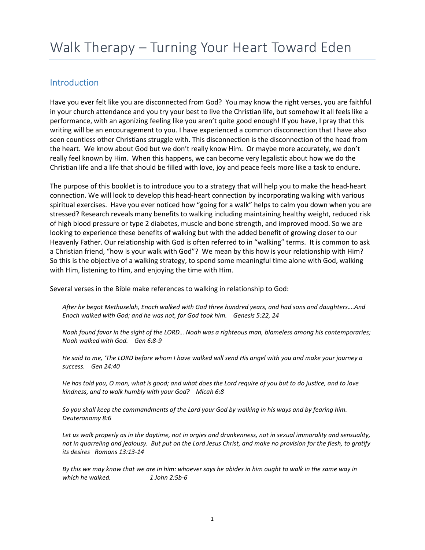# Introduction

Have you ever felt like you are disconnected from God? You may know the right verses, you are faithful in your church attendance and you try your best to live the Christian life, but somehow it all feels like a performance, with an agonizing feeling like you aren't quite good enough! If you have, I pray that this writing will be an encouragement to you. I have experienced a common disconnection that I have also seen countless other Christians struggle with. This disconnection is the disconnection of the head from the heart. We know about God but we don't really know Him. Or maybe more accurately, we don't really feel known by Him. When this happens, we can become very legalistic about how we do the Christian life and a life that should be filled with love, joy and peace feels more like a task to endure.

The purpose of this booklet is to introduce you to a strategy that will help you to make the head-heart connection. We will look to develop this head-heart connection by incorporating walking with various spiritual exercises. Have you ever noticed how "going for a walk" helps to calm you down when you are stressed? Research reveals many benefits to walking including maintaining healthy weight, reduced risk of high blood pressure or type 2 diabetes, muscle and bone strength, and improved mood. So we are looking to experience these benefits of walking but with the added benefit of growing closer to our Heavenly Father. Our relationship with God is often referred to in "walking" terms. It is common to ask a Christian friend, "how is your walk with God"? We mean by this how is your relationship with Him? So this is the objective of a walking strategy, to spend some meaningful time alone with God, walking with Him, listening to Him, and enjoying the time with Him.

Several verses in the Bible make references to walking in relationship to God:

After he begot Methuselah, Enoch walked with God three hundred years, and had sons and daughters….And Enoch walked with God; and he was not, for God took him. Genesis 5:22, 24

Noah found favor in the sight of the LORD… Noah was a righteous man, blameless among his contemporaries; Noah walked with God. Gen 6:8-9

He said to me, 'The LORD before whom I have walked will send His angel with you and make your journey a success. Gen 24:40

He has told you, O man, what is good; and what does the Lord require of you but to do justice, and to love kindness, and to walk humbly with your God? Micah 6:8

So you shall keep the commandments of the Lord your God by walking in his ways and by fearing him. Deuteronomy 8:6

Let us walk properly as in the daytime, not in orgies and drunkenness, not in sexual immorality and sensuality, not in quarreling and jealousy. But put on the Lord Jesus Christ, and make no provision for the flesh, to gratify its desires Romans 13:13-14

By this we may know that we are in him: whoever says he abides in him ought to walk in the same way in which he walked. 1 John 2:5b-6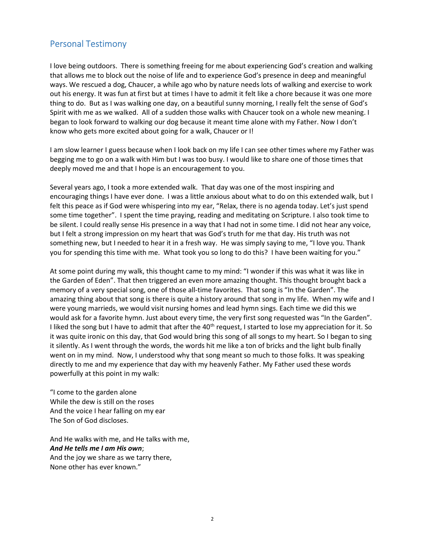# Personal Testimony

I love being outdoors. There is something freeing for me about experiencing God's creation and walking that allows me to block out the noise of life and to experience God's presence in deep and meaningful ways. We rescued a dog, Chaucer, a while ago who by nature needs lots of walking and exercise to work out his energy. It was fun at first but at times I have to admit it felt like a chore because it was one more thing to do. But as I was walking one day, on a beautiful sunny morning, I really felt the sense of God's Spirit with me as we walked. All of a sudden those walks with Chaucer took on a whole new meaning. I began to look forward to walking our dog because it meant time alone with my Father. Now I don't know who gets more excited about going for a walk, Chaucer or I!

I am slow learner I guess because when I look back on my life I can see other times where my Father was begging me to go on a walk with Him but I was too busy. I would like to share one of those times that deeply moved me and that I hope is an encouragement to you.

Several years ago, I took a more extended walk. That day was one of the most inspiring and encouraging things I have ever done. I was a little anxious about what to do on this extended walk, but I felt this peace as if God were whispering into my ear, "Relax, there is no agenda today. Let's just spend some time together". I spent the time praying, reading and meditating on Scripture. I also took time to be silent. I could really sense His presence in a way that I had not in some time. I did not hear any voice, but I felt a strong impression on my heart that was God's truth for me that day. His truth was not something new, but I needed to hear it in a fresh way. He was simply saying to me, "I love you. Thank you for spending this time with me. What took you so long to do this? I have been waiting for you."

At some point during my walk, this thought came to my mind: "I wonder if this was what it was like in the Garden of Eden". That then triggered an even more amazing thought. This thought brought back a memory of a very special song, one of those all-time favorites. That song is "In the Garden". The amazing thing about that song is there is quite a history around that song in my life. When my wife and I were young marrieds, we would visit nursing homes and lead hymn sings. Each time we did this we would ask for a favorite hymn. Just about every time, the very first song requested was "In the Garden". I liked the song but I have to admit that after the 40<sup>th</sup> request, I started to lose my appreciation for it. So it was quite ironic on this day, that God would bring this song of all songs to my heart. So I began to sing it silently. As I went through the words, the words hit me like a ton of bricks and the light bulb finally went on in my mind. Now, I understood why that song meant so much to those folks. It was speaking directly to me and my experience that day with my heavenly Father. My Father used these words powerfully at this point in my walk:

"I come to the garden alone While the dew is still on the roses And the voice I hear falling on my ear The Son of God discloses.

And He walks with me, and He talks with me, And He tells me I am His own; And the joy we share as we tarry there, None other has ever known."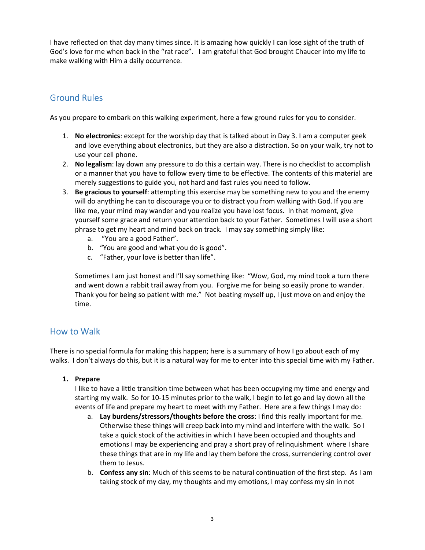I have reflected on that day many times since. It is amazing how quickly I can lose sight of the truth of God's love for me when back in the "rat race". I am grateful that God brought Chaucer into my life to make walking with Him a daily occurrence.

# Ground Rules

As you prepare to embark on this walking experiment, here a few ground rules for you to consider.

- 1. No electronics: except for the worship day that is talked about in Day 3. I am a computer geek and love everything about electronics, but they are also a distraction. So on your walk, try not to use your cell phone.
- 2. No legalism: lay down any pressure to do this a certain way. There is no checklist to accomplish or a manner that you have to follow every time to be effective. The contents of this material are merely suggestions to guide you, not hard and fast rules you need to follow.
- 3. Be gracious to yourself: attempting this exercise may be something new to you and the enemy will do anything he can to discourage you or to distract you from walking with God. If you are like me, your mind may wander and you realize you have lost focus. In that moment, give yourself some grace and return your attention back to your Father. Sometimes I will use a short phrase to get my heart and mind back on track. I may say something simply like:
	- a. "You are a good Father".
	- b. "You are good and what you do is good".
	- c. "Father, your love is better than life".

Sometimes I am just honest and I'll say something like: "Wow, God, my mind took a turn there and went down a rabbit trail away from you. Forgive me for being so easily prone to wander. Thank you for being so patient with me." Not beating myself up, I just move on and enjoy the time.

# How to Walk

There is no special formula for making this happen; here is a summary of how I go about each of my walks. I don't always do this, but it is a natural way for me to enter into this special time with my Father.

# 1. Prepare

I like to have a little transition time between what has been occupying my time and energy and starting my walk. So for 10-15 minutes prior to the walk, I begin to let go and lay down all the events of life and prepare my heart to meet with my Father. Here are a few things I may do:

- a. Lay burdens/stressors/thoughts before the cross: I find this really important for me. Otherwise these things will creep back into my mind and interfere with the walk. So I take a quick stock of the activities in which I have been occupied and thoughts and emotions I may be experiencing and pray a short pray of relinquishment where I share these things that are in my life and lay them before the cross, surrendering control over them to Jesus.
- b. Confess any sin: Much of this seems to be natural continuation of the first step. As I am taking stock of my day, my thoughts and my emotions, I may confess my sin in not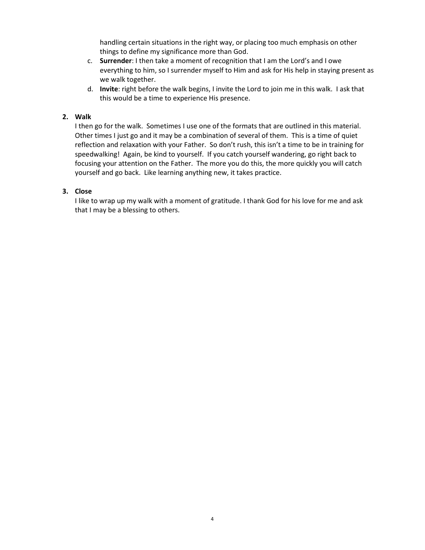handling certain situations in the right way, or placing too much emphasis on other things to define my significance more than God.

- c. Surrender: I then take a moment of recognition that I am the Lord's and I owe everything to him, so I surrender myself to Him and ask for His help in staying present as we walk together.
- d. Invite: right before the walk begins, I invite the Lord to join me in this walk. I ask that this would be a time to experience His presence.

# 2. Walk

I then go for the walk. Sometimes I use one of the formats that are outlined in this material. Other times I just go and it may be a combination of several of them. This is a time of quiet reflection and relaxation with your Father. So don't rush, this isn't a time to be in training for speedwalking! Again, be kind to yourself. If you catch yourself wandering, go right back to focusing your attention on the Father. The more you do this, the more quickly you will catch yourself and go back. Like learning anything new, it takes practice.

# 3. Close

I like to wrap up my walk with a moment of gratitude. I thank God for his love for me and ask that I may be a blessing to others.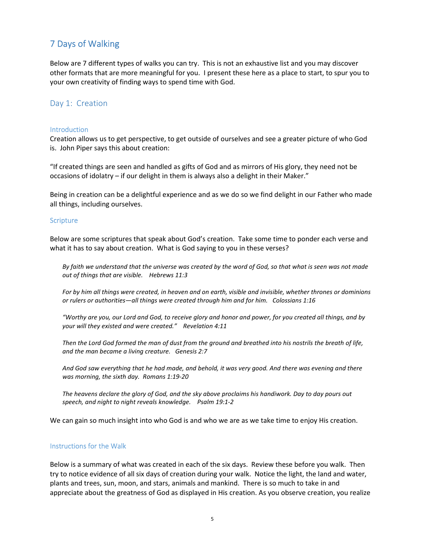# 7 Days of Walking

Below are 7 different types of walks you can try. This is not an exhaustive list and you may discover other formats that are more meaningful for you. I present these here as a place to start, to spur you to your own creativity of finding ways to spend time with God.

## Day 1: Creation

#### **Introduction**

Creation allows us to get perspective, to get outside of ourselves and see a greater picture of who God is. John Piper says this about creation:

"If created things are seen and handled as gifts of God and as mirrors of His glory, they need not be occasions of idolatry – if our delight in them is always also a delight in their Maker."

Being in creation can be a delightful experience and as we do so we find delight in our Father who made all things, including ourselves.

#### **Scripture**

Below are some scriptures that speak about God's creation. Take some time to ponder each verse and what it has to say about creation. What is God saying to you in these verses?

By faith we understand that the universe was created by the word of God, so that what is seen was not made out of things that are visible. Hebrews 11:3

For by him all things were created, in heaven and on earth, visible and invisible, whether thrones or dominions or rulers or authorities—all things were created through him and for him. Colossians 1:16

"Worthy are you, our Lord and God, to receive glory and honor and power, for you created all things, and by your will they existed and were created." Revelation 4:11

Then the Lord God formed the man of dust from the ground and breathed into his nostrils the breath of life, and the man became a living creature. Genesis 2:7

And God saw everything that he had made, and behold, it was very good. And there was evening and there was morning, the sixth day. Romans 1:19-20

The heavens declare the glory of God, and the sky above proclaims his handiwork. Day to day pours out speech, and night to night reveals knowledge. Psalm 19:1-2

We can gain so much insight into who God is and who we are as we take time to enjoy His creation.

#### Instructions for the Walk

Below is a summary of what was created in each of the six days. Review these before you walk. Then try to notice evidence of all six days of creation during your walk. Notice the light, the land and water, plants and trees, sun, moon, and stars, animals and mankind. There is so much to take in and appreciate about the greatness of God as displayed in His creation. As you observe creation, you realize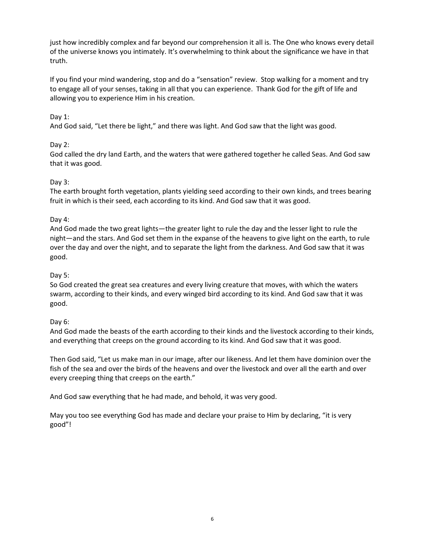just how incredibly complex and far beyond our comprehension it all is. The One who knows every detail of the universe knows you intimately. It's overwhelming to think about the significance we have in that truth.

If you find your mind wandering, stop and do a "sensation" review. Stop walking for a moment and try to engage all of your senses, taking in all that you can experience. Thank God for the gift of life and allowing you to experience Him in his creation.

# Day 1:

And God said, "Let there be light," and there was light. And God saw that the light was good.

# Day 2:

God called the dry land Earth, and the waters that were gathered together he called Seas. And God saw that it was good.

# Day 3:

The earth brought forth vegetation, plants yielding seed according to their own kinds, and trees bearing fruit in which is their seed, each according to its kind. And God saw that it was good.

# Day 4:

And God made the two great lights—the greater light to rule the day and the lesser light to rule the night—and the stars. And God set them in the expanse of the heavens to give light on the earth, to rule over the day and over the night, and to separate the light from the darkness. And God saw that it was good.

## Day 5:

So God created the great sea creatures and every living creature that moves, with which the waters swarm, according to their kinds, and every winged bird according to its kind. And God saw that it was good.

## Day 6:

And God made the beasts of the earth according to their kinds and the livestock according to their kinds, and everything that creeps on the ground according to its kind. And God saw that it was good.

Then God said, "Let us make man in our image, after our likeness. And let them have dominion over the fish of the sea and over the birds of the heavens and over the livestock and over all the earth and over every creeping thing that creeps on the earth."

And God saw everything that he had made, and behold, it was very good.

May you too see everything God has made and declare your praise to Him by declaring, "it is very good"!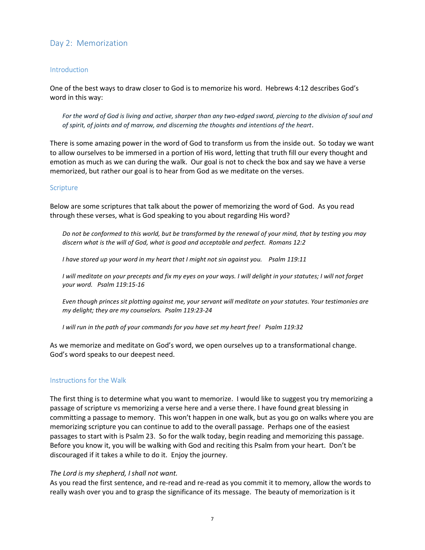# Day 2: Memorization

## **Introduction**

One of the best ways to draw closer to God is to memorize his word. Hebrews 4:12 describes God's word in this way:

For the word of God is living and active, sharper than any two-edged sword, piercing to the division of soul and of spirit, of joints and of marrow, and discerning the thoughts and intentions of the heart.

There is some amazing power in the word of God to transform us from the inside out. So today we want to allow ourselves to be immersed in a portion of His word, letting that truth fill our every thought and emotion as much as we can during the walk. Our goal is not to check the box and say we have a verse memorized, but rather our goal is to hear from God as we meditate on the verses.

## **Scripture**

Below are some scriptures that talk about the power of memorizing the word of God. As you read through these verses, what is God speaking to you about regarding His word?

Do not be conformed to this world, but be transformed by the renewal of your mind, that by testing you may discern what is the will of God, what is good and acceptable and perfect. Romans 12:2

I have stored up your word in my heart that I might not sin against you. Psalm 119:11

I will meditate on your precepts and fix my eyes on your ways. I will delight in your statutes; I will not forget your word. Psalm 119:15-16

Even though princes sit plotting against me, your servant will meditate on your statutes. Your testimonies are my delight; they are my counselors. Psalm 119:23-24

I will run in the path of your commands for you have set my heart free! Psalm 119:32

As we memorize and meditate on God's word, we open ourselves up to a transformational change. God's word speaks to our deepest need.

## Instructions for the Walk

The first thing is to determine what you want to memorize. I would like to suggest you try memorizing a passage of scripture vs memorizing a verse here and a verse there. I have found great blessing in committing a passage to memory. This won't happen in one walk, but as you go on walks where you are memorizing scripture you can continue to add to the overall passage. Perhaps one of the easiest passages to start with is Psalm 23. So for the walk today, begin reading and memorizing this passage. Before you know it, you will be walking with God and reciting this Psalm from your heart. Don't be discouraged if it takes a while to do it. Enjoy the journey.

#### The Lord is my shepherd, I shall not want.

As you read the first sentence, and re-read and re-read as you commit it to memory, allow the words to really wash over you and to grasp the significance of its message. The beauty of memorization is it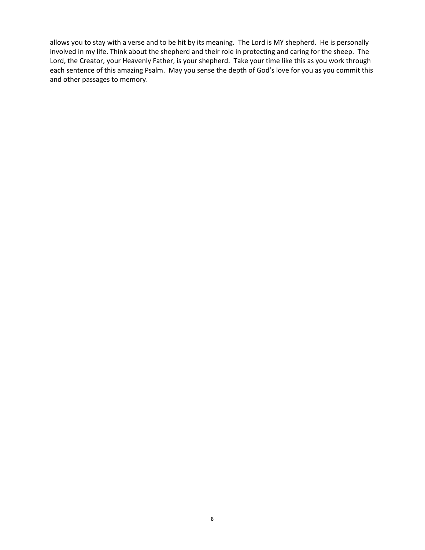allows you to stay with a verse and to be hit by its meaning. The Lord is MY shepherd. He is personally involved in my life. Think about the shepherd and their role in protecting and caring for the sheep. The Lord, the Creator, your Heavenly Father, is your shepherd. Take your time like this as you work through each sentence of this amazing Psalm. May you sense the depth of God's love for you as you commit this and other passages to memory.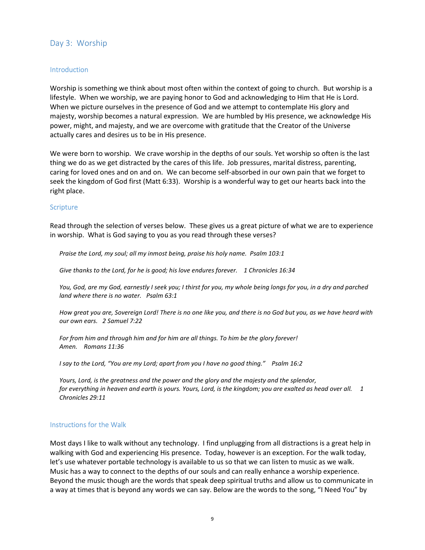# Day 3: Worship

## **Introduction**

Worship is something we think about most often within the context of going to church. But worship is a lifestyle. When we worship, we are paying honor to God and acknowledging to Him that He is Lord. When we picture ourselves in the presence of God and we attempt to contemplate His glory and majesty, worship becomes a natural expression. We are humbled by His presence, we acknowledge His power, might, and majesty, and we are overcome with gratitude that the Creator of the Universe actually cares and desires us to be in His presence.

We were born to worship. We crave worship in the depths of our souls. Yet worship so often is the last thing we do as we get distracted by the cares of this life. Job pressures, marital distress, parenting, caring for loved ones and on and on. We can become self-absorbed in our own pain that we forget to seek the kingdom of God first (Matt 6:33). Worship is a wonderful way to get our hearts back into the right place.

#### **Scripture**

Read through the selection of verses below. These gives us a great picture of what we are to experience in worship. What is God saying to you as you read through these verses?

Praise the Lord, my soul; all my inmost being, praise his holy name. Psalm 103:1

Give thanks to the Lord, for he is good; his love endures forever. 1 Chronicles 16:34

You, God, are my God, earnestly I seek you; I thirst for you, my whole being longs for you, in a dry and parched land where there is no water. Psalm 63:1

How great you are, Sovereign Lord! There is no one like you, and there is no God but you, as we have heard with our own ears. 2 Samuel 7:22

For from him and through him and for him are all things. To him be the glory forever! Amen. Romans 11:36

I say to the Lord, "You are my Lord; apart from you I have no good thing." Psalm 16:2

Yours, Lord, is the greatness and the power and the glory and the majesty and the splendor, for everything in heaven and earth is yours. Yours, Lord, is the kingdom; you are exalted as head over all. 1 Chronicles 29:11

#### Instructions for the Walk

Most days I like to walk without any technology. I find unplugging from all distractions is a great help in walking with God and experiencing His presence. Today, however is an exception. For the walk today, let's use whatever portable technology is available to us so that we can listen to music as we walk. Music has a way to connect to the depths of our souls and can really enhance a worship experience. Beyond the music though are the words that speak deep spiritual truths and allow us to communicate in a way at times that is beyond any words we can say. Below are the words to the song, "I Need You" by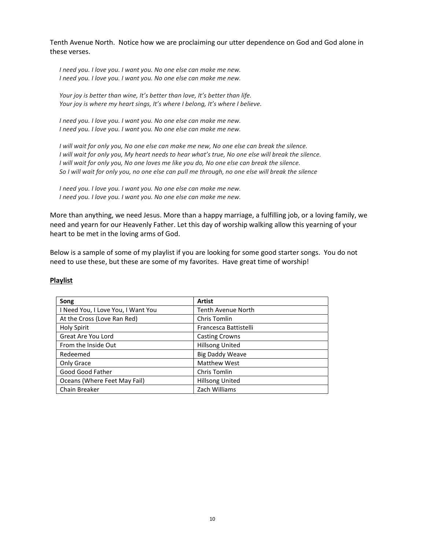Tenth Avenue North. Notice how we are proclaiming our utter dependence on God and God alone in these verses.

I need you. I love you. I want you. No one else can make me new. I need you. I love you. I want you. No one else can make me new.

Your joy is better than wine, It's better than love, It's better than life. Your joy is where my heart sings, It's where I belong, It's where I believe.

I need you. I love you. I want you. No one else can make me new. I need you. I love you. I want you. No one else can make me new.

I will wait for only you, No one else can make me new, No one else can break the silence. I will wait for only you, My heart needs to hear what's true, No one else will break the silence. I will wait for only you, No one loves me like you do, No one else can break the silence. So I will wait for only you, no one else can pull me through, no one else will break the silence

I need you. I love you. I want you. No one else can make me new. I need you. I love you. I want you. No one else can make me new.

More than anything, we need Jesus. More than a happy marriage, a fulfilling job, or a loving family, we need and yearn for our Heavenly Father. Let this day of worship walking allow this yearning of your heart to be met in the loving arms of God.

Below is a sample of some of my playlist if you are looking for some good starter songs. You do not need to use these, but these are some of my favorites. Have great time of worship!

#### Playlist

| Song                               | <b>Artist</b>             |
|------------------------------------|---------------------------|
| I Need You, I Love You, I Want You | <b>Tenth Avenue North</b> |
| At the Cross (Love Ran Red)        | Chris Tomlin              |
| <b>Holy Spirit</b>                 | Francesca Battistelli     |
| Great Are You Lord                 | <b>Casting Crowns</b>     |
| From the Inside Out                | <b>Hillsong United</b>    |
| Redeemed                           | <b>Big Daddy Weave</b>    |
| Only Grace                         | <b>Matthew West</b>       |
| Good Good Father                   | Chris Tomlin              |
| Oceans (Where Feet May Fail)       | <b>Hillsong United</b>    |
| Chain Breaker                      | Zach Williams             |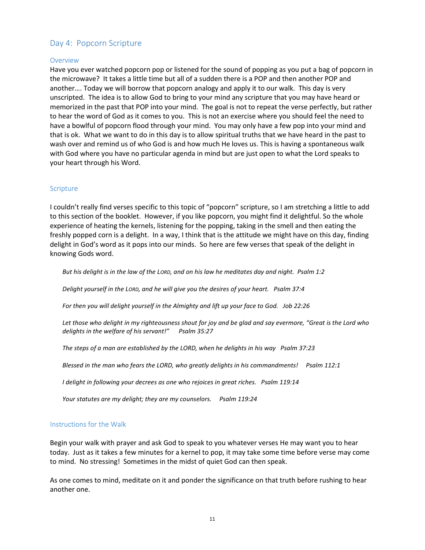# Day 4: Popcorn Scripture

## **Overview**

Have you ever watched popcorn pop or listened for the sound of popping as you put a bag of popcorn in the microwave? It takes a little time but all of a sudden there is a POP and then another POP and another…. Today we will borrow that popcorn analogy and apply it to our walk. This day is very unscripted. The idea is to allow God to bring to your mind any scripture that you may have heard or memorized in the past that POP into your mind. The goal is not to repeat the verse perfectly, but rather to hear the word of God as it comes to you. This is not an exercise where you should feel the need to have a bowlful of popcorn flood through your mind. You may only have a few pop into your mind and that is ok. What we want to do in this day is to allow spiritual truths that we have heard in the past to wash over and remind us of who God is and how much He loves us. This is having a spontaneous walk with God where you have no particular agenda in mind but are just open to what the Lord speaks to your heart through his Word.

## Scripture

I couldn't really find verses specific to this topic of "popcorn" scripture, so I am stretching a little to add to this section of the booklet. However, if you like popcorn, you might find it delightful. So the whole experience of heating the kernels, listening for the popping, taking in the smell and then eating the freshly popped corn is a delight. In a way, I think that is the attitude we might have on this day, finding delight in God's word as it pops into our minds. So here are few verses that speak of the delight in knowing Gods word.

But his delight is in the law of the LORD, and on his law he meditates day and night. Psalm 1:2

Delight yourself in the LORD, and he will give you the desires of your heart. Psalm 37:4

For then you will delight yourself in the Almighty and lift up your face to God. Job 22:26

Let those who delight in my righteousness shout for joy and be glad and say evermore, "Great is the Lord who delights in the welfare of his servant!" Psalm 35:27

The steps of a man are established by the LORD, when he delights in his way Psalm 37:23

Blessed in the man who fears the LORD, who greatly delights in his commandments! Psalm 112:1

I delight in following your decrees as one who rejoices in great riches. Psalm 119:14

Your statutes are my delight; they are my counselors. Psalm 119:24

#### Instructions for the Walk

Begin your walk with prayer and ask God to speak to you whatever verses He may want you to hear today. Just as it takes a few minutes for a kernel to pop, it may take some time before verse may come to mind. No stressing! Sometimes in the midst of quiet God can then speak.

As one comes to mind, meditate on it and ponder the significance on that truth before rushing to hear another one.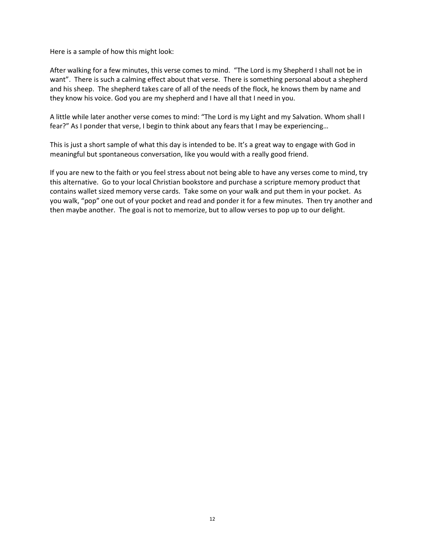Here is a sample of how this might look:

After walking for a few minutes, this verse comes to mind. "The Lord is my Shepherd I shall not be in want". There is such a calming effect about that verse. There is something personal about a shepherd and his sheep. The shepherd takes care of all of the needs of the flock, he knows them by name and they know his voice. God you are my shepherd and I have all that I need in you.

A little while later another verse comes to mind: "The Lord is my Light and my Salvation. Whom shall I fear?" As I ponder that verse, I begin to think about any fears that I may be experiencing…

This is just a short sample of what this day is intended to be. It's a great way to engage with God in meaningful but spontaneous conversation, like you would with a really good friend.

If you are new to the faith or you feel stress about not being able to have any verses come to mind, try this alternative. Go to your local Christian bookstore and purchase a scripture memory product that contains wallet sized memory verse cards. Take some on your walk and put them in your pocket. As you walk, "pop" one out of your pocket and read and ponder it for a few minutes. Then try another and then maybe another. The goal is not to memorize, but to allow verses to pop up to our delight.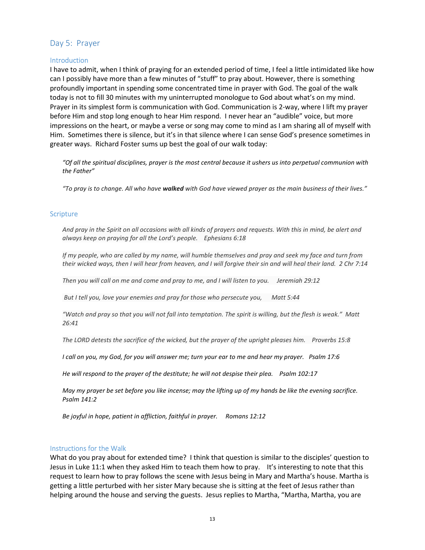# Day 5: Prayer

## **Introduction**

I have to admit, when I think of praying for an extended period of time, I feel a little intimidated like how can I possibly have more than a few minutes of "stuff" to pray about. However, there is something profoundly important in spending some concentrated time in prayer with God. The goal of the walk today is not to fill 30 minutes with my uninterrupted monologue to God about what's on my mind. Prayer in its simplest form is communication with God. Communication is 2-way, where I lift my prayer before Him and stop long enough to hear Him respond. I never hear an "audible" voice, but more impressions on the heart, or maybe a verse or song may come to mind as I am sharing all of myself with Him. Sometimes there is silence, but it's in that silence where I can sense God's presence sometimes in greater ways. Richard Foster sums up best the goal of our walk today:

"Of all the spiritual disciplines, prayer is the most central because it ushers us into perpetual communion with the Father"

"To pray is to change. All who have walked with God have viewed prayer as the main business of their lives."

## **Scripture**

And pray in the Spirit on all occasions with all kinds of prayers and requests. With this in mind, be alert and always keep on praying for all the Lord's people. Ephesians 6:18

If my people, who are called by my name, will humble themselves and pray and seek my face and turn from their wicked ways, then I will hear from heaven, and I will forgive their sin and will heal their land. 2 Chr 7:14

Then you will call on me and come and pray to me, and I will listen to you. Jeremiah 29:12

But I tell you, love your enemies and pray for those who persecute you, Matt 5:44

"Watch and pray so that you will not fall into temptation. The spirit is willing, but the flesh is weak." Matt 26:41

The LORD detests the sacrifice of the wicked, but the prayer of the upright pleases him. Proverbs 15:8

I call on you, my God, for you will answer me; turn your ear to me and hear my prayer. Psalm 17:6

He will respond to the prayer of the destitute; he will not despise their plea. Psalm 102:17

May my prayer be set before you like incense; may the lifting up of my hands be like the evening sacrifice. Psalm 141:2

Be joyful in hope, patient in affliction, faithful in prayer. Romans 12:12

#### Instructions for the Walk

What do you pray about for extended time? I think that question is similar to the disciples' question to Jesus in Luke 11:1 when they asked Him to teach them how to pray. It's interesting to note that this request to learn how to pray follows the scene with Jesus being in Mary and Martha's house. Martha is getting a little perturbed with her sister Mary because she is sitting at the feet of Jesus rather than helping around the house and serving the guests. Jesus replies to Martha, "Martha, Martha, you are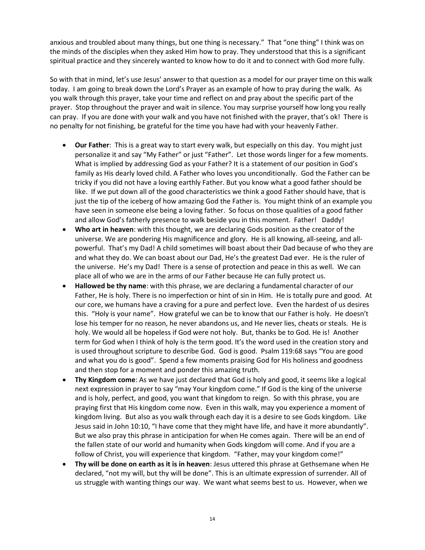anxious and troubled about many things, but one thing is necessary." That "one thing" I think was on the minds of the disciples when they asked Him how to pray. They understood that this is a significant spiritual practice and they sincerely wanted to know how to do it and to connect with God more fully.

So with that in mind, let's use Jesus' answer to that question as a model for our prayer time on this walk today. I am going to break down the Lord's Prayer as an example of how to pray during the walk. As you walk through this prayer, take your time and reflect on and pray about the specific part of the prayer. Stop throughout the prayer and wait in silence. You may surprise yourself how long you really can pray. If you are done with your walk and you have not finished with the prayer, that's ok! There is no penalty for not finishing, be grateful for the time you have had with your heavenly Father.

- Our Father: This is a great way to start every walk, but especially on this day. You might just personalize it and say "My Father" or just "Father". Let those words linger for a few moments. What is implied by addressing God as your Father? It is a statement of our position in God's family as His dearly loved child. A Father who loves you unconditionally. God the Father can be tricky if you did not have a loving earthly Father. But you know what a good father should be like. If we put down all of the good characteristics we think a good Father should have, that is just the tip of the iceberg of how amazing God the Father is. You might think of an example you have seen in someone else being a loving father. So focus on those qualities of a good father and allow God's fatherly presence to walk beside you in this moment. Father! Daddy!
- Who art in heaven: with this thought, we are declaring Gods position as the creator of the universe. We are pondering His magnificence and glory. He is all knowing, all-seeing, and allpowerful. That's my Dad! A child sometimes will boast about their Dad because of who they are and what they do. We can boast about our Dad, He's the greatest Dad ever. He is the ruler of the universe. He's my Dad! There is a sense of protection and peace in this as well. We can place all of who we are in the arms of our Father because He can fully protect us.
- Hallowed be thy name: with this phrase, we are declaring a fundamental character of our Father, He is holy. There is no imperfection or hint of sin in Him. He is totally pure and good. At our core, we humans have a craving for a pure and perfect love. Even the hardest of us desires this. "Holy is your name". How grateful we can be to know that our Father is holy. He doesn't lose his temper for no reason, he never abandons us, and He never lies, cheats or steals. He is holy. We would all be hopeless if God were not holy. But, thanks be to God. He is! Another term for God when I think of holy is the term good. It's the word used in the creation story and is used throughout scripture to describe God. God is good. Psalm 119:68 says "You are good and what you do is good". Spend a few moments praising God for His holiness and goodness and then stop for a moment and ponder this amazing truth.
- Thy Kingdom come: As we have just declared that God is holy and good, it seems like a logical next expression in prayer to say "may Your kingdom come." If God is the king of the universe and is holy, perfect, and good, you want that kingdom to reign. So with this phrase, you are praying first that His kingdom come now. Even in this walk, may you experience a moment of kingdom living. But also as you walk through each day it is a desire to see Gods kingdom. Like Jesus said in John 10:10, "I have come that they might have life, and have it more abundantly". But we also pray this phrase in anticipation for when He comes again. There will be an end of the fallen state of our world and humanity when Gods kingdom will come. And if you are a follow of Christ, you will experience that kingdom. "Father, may your kingdom come!"
- Thy will be done on earth as it is in heaven: Jesus uttered this phrase at Gethsemane when He declared, "not my will, but thy will be done". This is an ultimate expression of surrender. All of us struggle with wanting things our way. We want what seems best to us. However, when we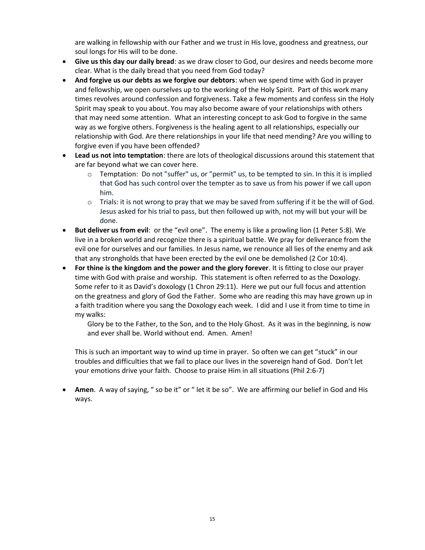are walking in fellowship with our Father and we trust in His love, goodness and greatness, our soul longs for His will to be done.

- Give us this day our daily bread: as we draw closer to God, our desires and needs become more clear. What is the daily bread that you need from God today?
- And forgive us our debts as we forgive our debtors: when we spend time with God in prayer and fellowship, we open ourselves up to the working of the Holy Spirit. Part of this work many times revolves around confession and forgiveness. Take a few moments and confess sin the Holy Spirit may speak to you about. You may also become aware of your relationships with others that may need some attention. What an interesting concept to ask God to forgive in the same way as we forgive others. Forgiveness is the healing agent to all relationships, especially our relationship with God. Are there relationships in your life that need mending? Are you willing to forgive even if you have been offended?
- Lead us not into temptation: there are lots of theological discussions around this statement that are far beyond what we can cover here.
	- $\circ$  Temptation: Do not "suffer" us, or "permit" us, to be tempted to sin. In this it is implied that God has such control over the tempter as to save us from his power if we call upon him.
	- o Trials: it is not wrong to pray that we may be saved from suffering if it be the will of God. Jesus asked for his trial to pass, but then followed up with, not my will but your will be done.
- But deliver us from evil: or the "evil one". The enemy is like a prowling lion (1 Peter 5:8). We live in a broken world and recognize there is a spiritual battle. We pray for deliverance from the evil one for ourselves and our families. In Jesus name, we renounce all lies of the enemy and ask that any strongholds that have been erected by the evil one be demolished (2 Cor 10:4).
- For thine is the kingdom and the power and the glory forever. It is fitting to close our prayer time with God with praise and worship. This statement is often referred to as the Doxology. Some refer to it as David's doxology (1 Chron 29:11). Here we put our full focus and attention on the greatness and glory of God the Father. Some who are reading this may have grown up in a faith tradition where you sang the Doxology each week. I did and I use it from time to time in my walks:

Glory be to the Father, to the Son, and to the Holy Ghost. As it was in the beginning, is now and ever shall be. World without end. Amen. Amen!

This is such an important way to wind up time in prayer. So often we can get "stuck" in our troubles and difficulties that we fail to place our lives in the sovereign hand of God. Don't let your emotions drive your faith. Choose to praise Him in all situations (Phil 2:6-7)

Amen. A way of saying, " so be it" or " let it be so". We are affirming our belief in God and His ways.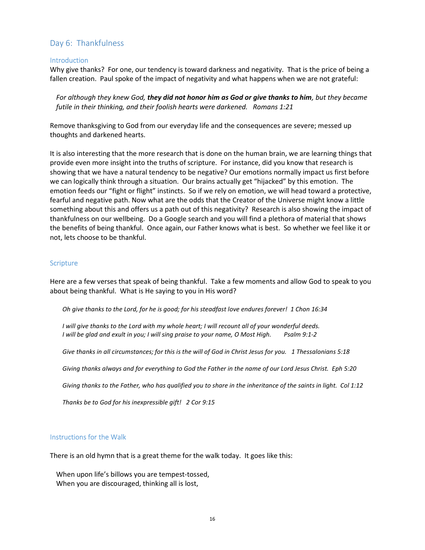# Day 6: Thankfulness

#### **Introduction**

Why give thanks? For one, our tendency is toward darkness and negativity. That is the price of being a fallen creation. Paul spoke of the impact of negativity and what happens when we are not grateful:

For although they knew God, they did not honor him as God or give thanks to him, but they became futile in their thinking, and their foolish hearts were darkened. Romans 1:21

Remove thanksgiving to God from our everyday life and the consequences are severe; messed up thoughts and darkened hearts.

It is also interesting that the more research that is done on the human brain, we are learning things that provide even more insight into the truths of scripture. For instance, did you know that research is showing that we have a natural tendency to be negative? Our emotions normally impact us first before we can logically think through a situation. Our brains actually get "hijacked" by this emotion. The emotion feeds our "fight or flight" instincts. So if we rely on emotion, we will head toward a protective, fearful and negative path. Now what are the odds that the Creator of the Universe might know a little something about this and offers us a path out of this negativity? Research is also showing the impact of thankfulness on our wellbeing. Do a Google search and you will find a plethora of material that shows the benefits of being thankful. Once again, our Father knows what is best. So whether we feel like it or not, lets choose to be thankful.

## Scripture

Here are a few verses that speak of being thankful. Take a few moments and allow God to speak to you about being thankful. What is He saying to you in His word?

Oh give thanks to the Lord, for he is good; for his steadfast love endures forever! 1 Chon 16:34

I will give thanks to the Lord with my whole heart; I will recount all of your wonderful deeds. I will be glad and exult in you; I will sing praise to your name, O Most High. Psalm 9:1-2

Give thanks in all circumstances; for this is the will of God in Christ Jesus for you. 1 Thessalonians 5:18

Giving thanks always and for everything to God the Father in the name of our Lord Jesus Christ. Eph 5:20

Giving thanks to the Father, who has qualified you to share in the inheritance of the saints in light. Col 1:12

Thanks be to God for his inexpressible gift! 2 Cor 9:15

#### Instructions for the Walk

There is an old hymn that is a great theme for the walk today. It goes like this:

When upon life's billows you are tempest-tossed, When you are discouraged, thinking all is lost,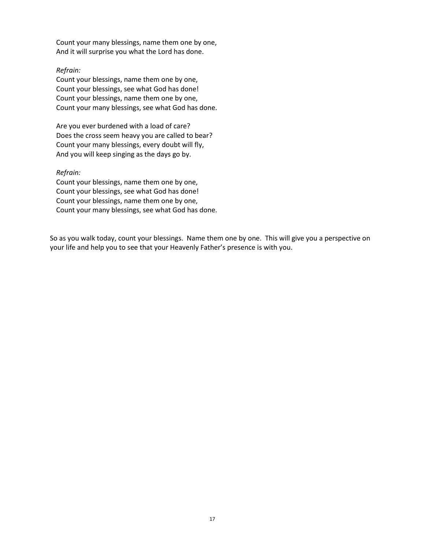Count your many blessings, name them one by one, And it will surprise you what the Lord has done.

## Refrain:

Count your blessings, name them one by one, Count your blessings, see what God has done! Count your blessings, name them one by one, Count your many blessings, see what God has done.

Are you ever burdened with a load of care? Does the cross seem heavy you are called to bear? Count your many blessings, every doubt will fly, And you will keep singing as the days go by.

## Refrain:

Count your blessings, name them one by one, Count your blessings, see what God has done! Count your blessings, name them one by one, Count your many blessings, see what God has done.

So as you walk today, count your blessings. Name them one by one. This will give you a perspective on your life and help you to see that your Heavenly Father's presence is with you.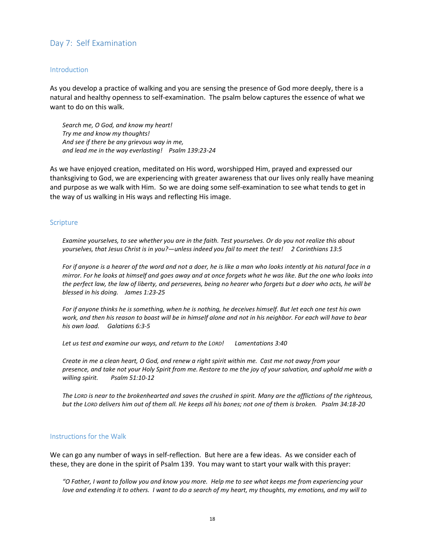# Day 7: Self Examination

#### **Introduction**

As you develop a practice of walking and you are sensing the presence of God more deeply, there is a natural and healthy openness to self-examination. The psalm below captures the essence of what we want to do on this walk.

Search me, O God, and know my heart! Try me and know my thoughts! And see if there be any grievous way in me, and lead me in the way everlasting! Psalm 139:23-24

As we have enjoyed creation, meditated on His word, worshipped Him, prayed and expressed our thanksgiving to God, we are experiencing with greater awareness that our lives only really have meaning and purpose as we walk with Him. So we are doing some self-examination to see what tends to get in the way of us walking in His ways and reflecting His image.

#### **Scripture**

Examine yourselves, to see whether you are in the faith. Test yourselves. Or do you not realize this about yourselves, that Jesus Christ is in you?—unless indeed you fail to meet the test! 2 Corinthians 13:5

For if anyone is a hearer of the word and not a doer, he is like a man who looks intently at his natural face in a mirror. For he looks at himself and goes away and at once forgets what he was like. But the one who looks into the perfect law, the law of liberty, and perseveres, being no hearer who forgets but a doer who acts, he will be blessed in his doing. James 1:23-25

For if anyone thinks he is something, when he is nothing, he deceives himself. But let each one test his own work, and then his reason to boast will be in himself alone and not in his neighbor. For each will have to bear his own load. Galatians 6:3-5

Let us test and examine our ways, and return to the LORD! Lamentations 3:40

Create in me a clean heart, O God, and renew a right spirit within me. Cast me not away from your presence, and take not your Holy Spirit from me. Restore to me the joy of your salvation, and uphold me with a willing spirit. Psalm 51:10-12

The LORD is near to the brokenhearted and saves the crushed in spirit. Many are the afflictions of the righteous, but the LORD delivers him out of them all. He keeps all his bones; not one of them is broken. Psalm 34:18-20

## Instructions for the Walk

We can go any number of ways in self-reflection. But here are a few ideas. As we consider each of these, they are done in the spirit of Psalm 139. You may want to start your walk with this prayer:

"O Father, I want to follow you and know you more. Help me to see what keeps me from experiencing your love and extending it to others. I want to do a search of my heart, my thoughts, my emotions, and my will to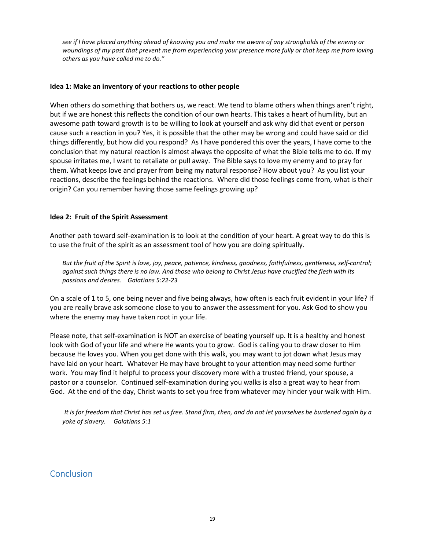see if I have placed anything ahead of knowing you and make me aware of any strongholds of the enemy or woundings of my past that prevent me from experiencing your presence more fully or that keep me from loving others as you have called me to do."

## Idea 1: Make an inventory of your reactions to other people

When others do something that bothers us, we react. We tend to blame others when things aren't right, but if we are honest this reflects the condition of our own hearts. This takes a heart of humility, but an awesome path toward growth is to be willing to look at yourself and ask why did that event or person cause such a reaction in you? Yes, it is possible that the other may be wrong and could have said or did things differently, but how did you respond? As I have pondered this over the years, I have come to the conclusion that my natural reaction is almost always the opposite of what the Bible tells me to do. If my spouse irritates me, I want to retaliate or pull away. The Bible says to love my enemy and to pray for them. What keeps love and prayer from being my natural response? How about you? As you list your reactions, describe the feelings behind the reactions. Where did those feelings come from, what is their origin? Can you remember having those same feelings growing up?

## Idea 2: Fruit of the Spirit Assessment

Another path toward self-examination is to look at the condition of your heart. A great way to do this is to use the fruit of the spirit as an assessment tool of how you are doing spiritually.

But the fruit of the Spirit is love, joy, peace, patience, kindness, goodness, faithfulness, gentleness, self-control; against such things there is no law. And those who belong to Christ Jesus have crucified the flesh with its passions and desires. Galatians 5:22-23

On a scale of 1 to 5, one being never and five being always, how often is each fruit evident in your life? If you are really brave ask someone close to you to answer the assessment for you. Ask God to show you where the enemy may have taken root in your life.

Please note, that self-examination is NOT an exercise of beating yourself up. It is a healthy and honest look with God of your life and where He wants you to grow. God is calling you to draw closer to Him because He loves you. When you get done with this walk, you may want to jot down what Jesus may have laid on your heart. Whatever He may have brought to your attention may need some further work. You may find it helpful to process your discovery more with a trusted friend, your spouse, a pastor or a counselor. Continued self-examination during you walks is also a great way to hear from God. At the end of the day, Christ wants to set you free from whatever may hinder your walk with Him.

It is for freedom that Christ has set us free. Stand firm, then, and do not let yourselves be burdened again by a yoke of slavery. Galatians 5:1

# **Conclusion**